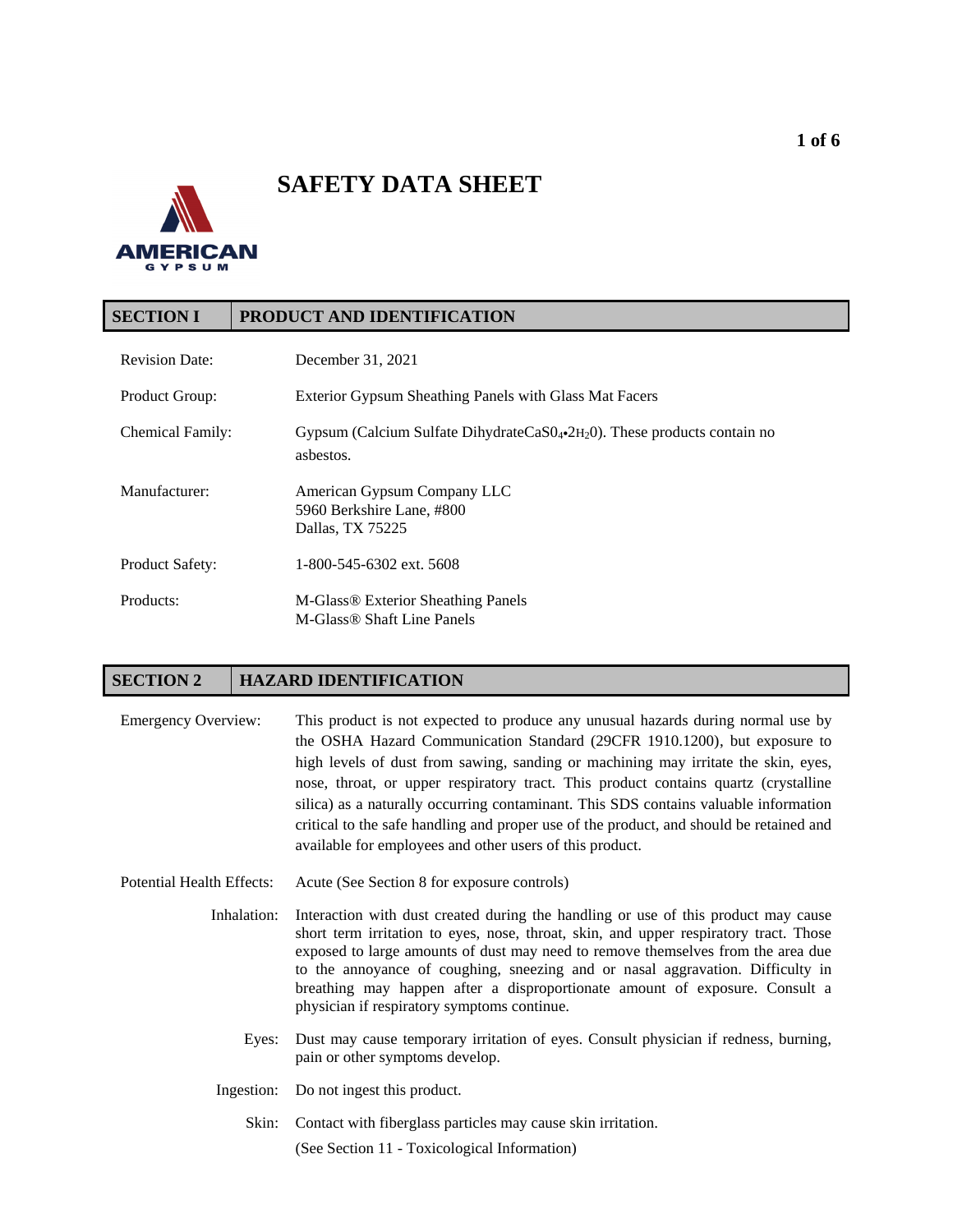# **SAFETY DATA SHEET**



## **SECTION I PRODUCT AND IDENTIFICATION**

| <b>Revision Date:</b>  | December 31, 2021                                                                                         |
|------------------------|-----------------------------------------------------------------------------------------------------------|
| Product Group:         | Exterior Gypsum Sheathing Panels with Glass Mat Facers                                                    |
| Chemical Family:       | Gypsum (Calcium Sulfate DihydrateCaS $0_4$ -2H <sub>2</sub> $0$ ). These products contain no<br>asbestos. |
| Manufacturer:          | American Gypsum Company LLC<br>5960 Berkshire Lane, #800<br>Dallas, TX 75225                              |
| <b>Product Safety:</b> | 1-800-545-6302 ext. 5608                                                                                  |
| Products:              | M-Glass <sup>®</sup> Exterior Sheathing Panels<br>M-Glass <sup>®</sup> Shaft Line Panels                  |

## **SECTION 2 HAZARD IDENTIFICATION**

| <b>Emergency Overview:</b> | This product is not expected to produce any unusual hazards during normal use by<br>the OSHA Hazard Communication Standard (29CFR 1910.1200), but exposure to<br>high levels of dust from sawing, sanding or machining may irritate the skin, eyes,<br>nose, throat, or upper respiratory tract. This product contains quartz (crystalline<br>silica) as a naturally occurring contaminant. This SDS contains valuable information<br>critical to the safe handling and proper use of the product, and should be retained and<br>available for employees and other users of this product. |
|----------------------------|-------------------------------------------------------------------------------------------------------------------------------------------------------------------------------------------------------------------------------------------------------------------------------------------------------------------------------------------------------------------------------------------------------------------------------------------------------------------------------------------------------------------------------------------------------------------------------------------|
|                            |                                                                                                                                                                                                                                                                                                                                                                                                                                                                                                                                                                                           |

- Potential Health Effects: Acute (See Section 8 for exposure controls)
	- Inhalation: Interaction with dust created during the handling or use of this product may cause short term irritation to eyes, nose, throat, skin, and upper respiratory tract. Those exposed to large amounts of dust may need to remove themselves from the area due to the annoyance of coughing, sneezing and or nasal aggravation. Difficulty in breathing may happen after a disproportionate amount of exposure. Consult a physician if respiratory symptoms continue.
		- Eyes: Dust may cause temporary irritation of eyes. Consult physician if redness, burning, pain or other symptoms develop.
		- Ingestion: Do not ingest this product.

Skin: Contact with fiberglass particles may cause skin irritation. (See Section 11 - Toxicological Information)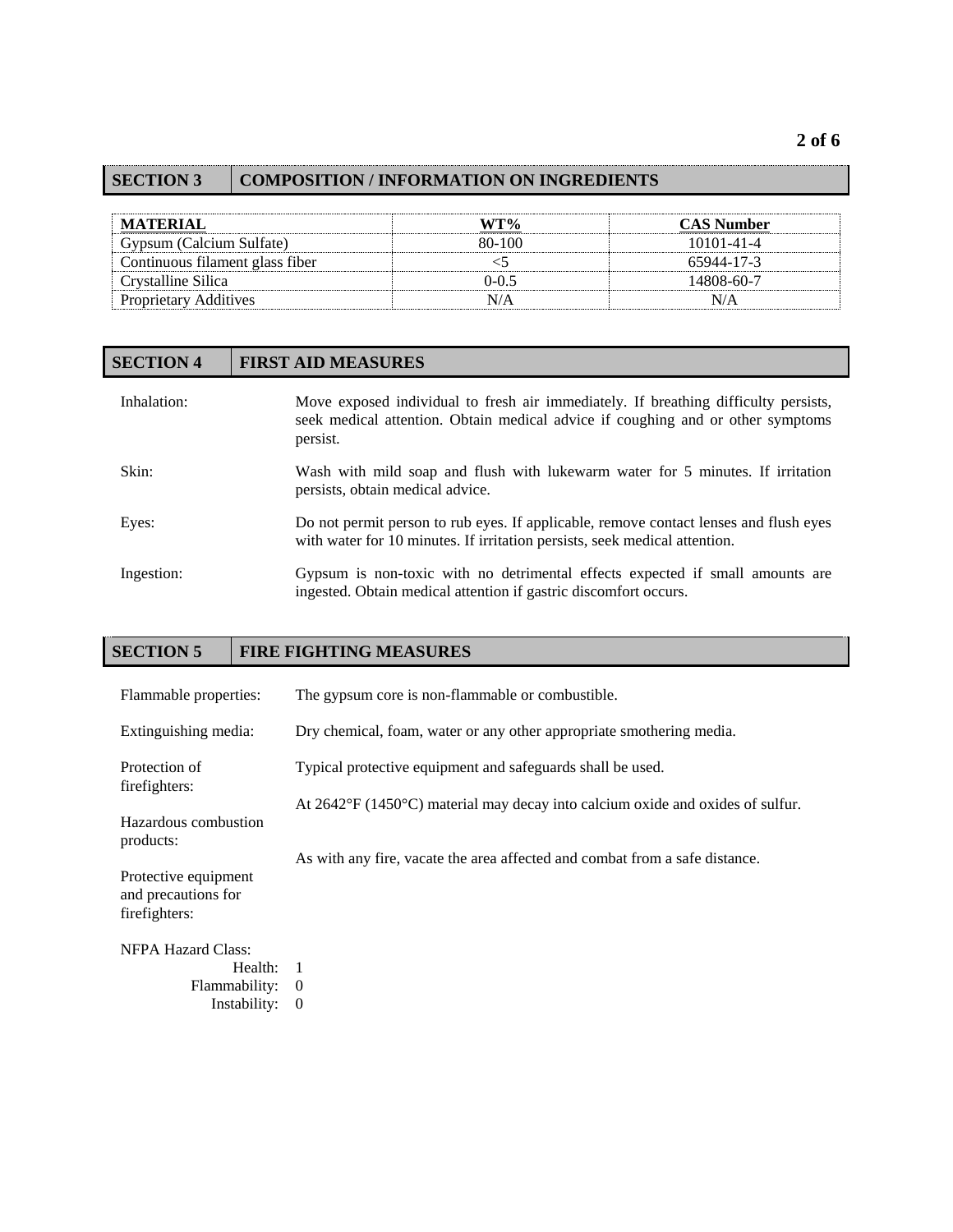## **SECTION 3 COMPOSITION / INFORMATION ON INGREDIENTS**

| <b>MATERIAL</b>                 | WT%       | <b>CAS Number</b> |
|---------------------------------|-----------|-------------------|
| Gypsum (Calcium Sulfate)        | 80-100    | 10101-41-4        |
| Continuous filament glass fiber |           | 65944-17-3        |
| Crystalline Silica              | $0 - 0.5$ | 14808-60-7        |
| <b>Proprietary Additives</b>    | N/A       | N/A               |

## **SECTION 4 FIRST AID MEASURES**

| Inhalation: | Move exposed individual to fresh air immediately. If breathing difficulty persists,<br>seek medical attention. Obtain medical advice if coughing and or other symptoms<br>persist. |
|-------------|------------------------------------------------------------------------------------------------------------------------------------------------------------------------------------|
| Skin:       | Wash with mild soap and flush with lukewarm water for 5 minutes. If irritation<br>persists, obtain medical advice.                                                                 |
| Eyes:       | Do not permit person to rub eyes. If applicable, remove contact lenses and flush eyes<br>with water for 10 minutes. If irritation persists, seek medical attention.                |
| Ingestion:  | Gypsum is non-toxic with no detrimental effects expected if small amounts are<br>ingested. Obtain medical attention if gastric discomfort occurs.                                  |

## **SECTION 5 FIRE FIGHTING MEASURES**

| Flammable properties:                                        | The gypsum core is non-flammable or combustible.                               |
|--------------------------------------------------------------|--------------------------------------------------------------------------------|
| Extinguishing media:                                         | Dry chemical, foam, water or any other appropriate smothering media.           |
| Protection of<br>firefighters:                               | Typical protective equipment and safeguards shall be used.                     |
| Hazardous combustion<br>products:                            | At 2642°F (1450°C) material may decay into calcium oxide and oxides of sulfur. |
| Protective equipment<br>and precautions for<br>firefighters: | As with any fire, vacate the area affected and combat from a safe distance.    |
| <b>NFPA Hazard Class:</b>                                    |                                                                                |
| Health: 1                                                    |                                                                                |
| Flammability:                                                | $\theta$                                                                       |
| Instability:                                                 | $\theta$                                                                       |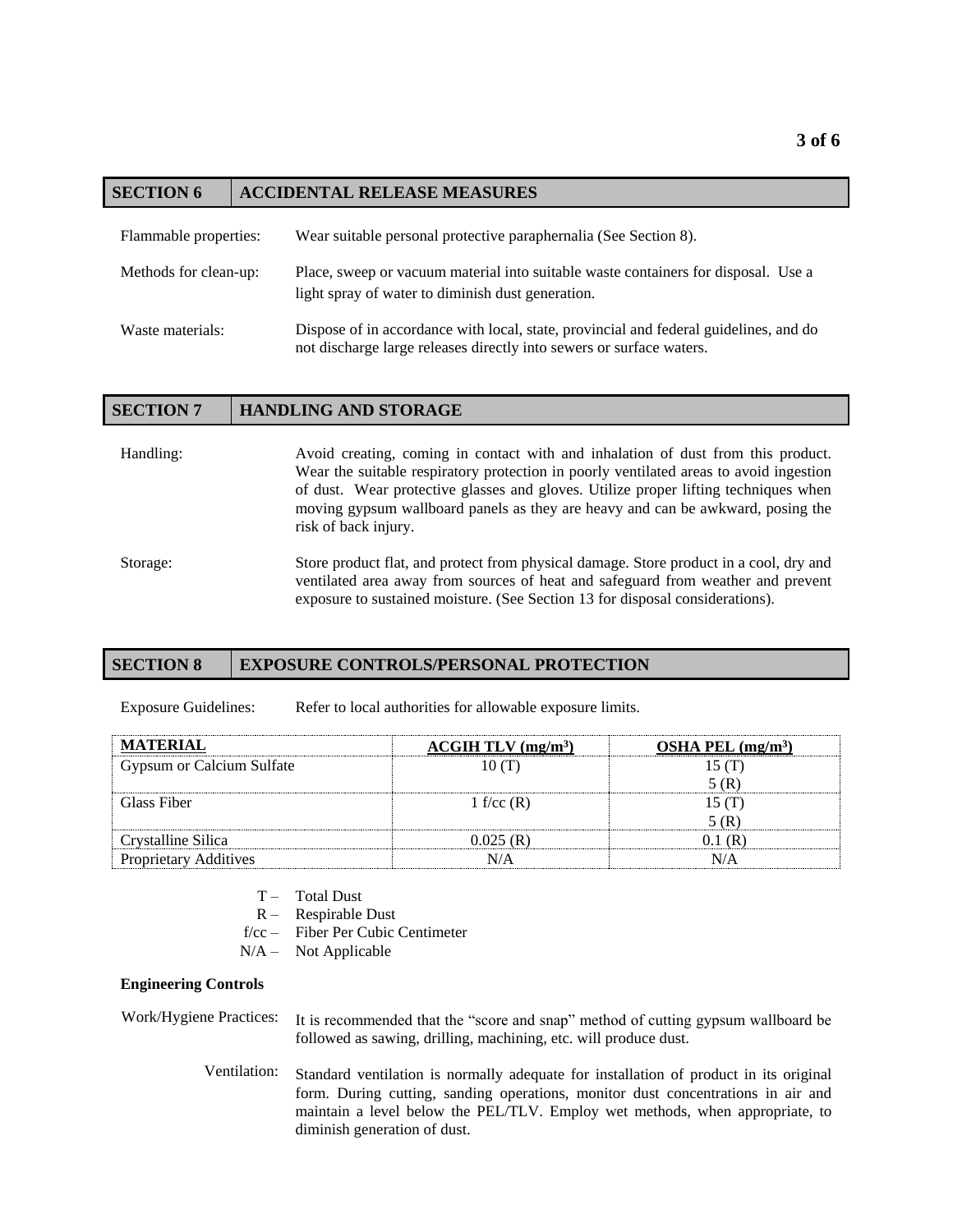## **SECTION 6 ACCIDENTAL RELEASE MEASURES**

| Flammable properties: | Wear suitable personal protective paraphernalia (See Section 8).                                                                                              |
|-----------------------|---------------------------------------------------------------------------------------------------------------------------------------------------------------|
| Methods for clean-up: | Place, sweep or vacuum material into suitable waste containers for disposal. Use a<br>light spray of water to diminish dust generation.                       |
| Waste materials:      | Dispose of in accordance with local, state, provincial and federal guidelines, and do<br>not discharge large releases directly into sewers or surface waters. |

| <b>SECTION 7</b> | <b>HANDLING AND STORAGE</b>                                                                                                                                                                                                                                                                                                                                                  |
|------------------|------------------------------------------------------------------------------------------------------------------------------------------------------------------------------------------------------------------------------------------------------------------------------------------------------------------------------------------------------------------------------|
| Handling:        | Avoid creating, coming in contact with and inhalation of dust from this product.<br>Wear the suitable respiratory protection in poorly ventilated areas to avoid ingestion<br>of dust. Wear protective glasses and gloves. Utilize proper lifting techniques when<br>moving gypsum wallboard panels as they are heavy and can be awkward, posing the<br>risk of back injury. |
| Storage:         | Store product flat, and protect from physical damage. Store product in a cool, dry and<br>ventilated area away from sources of heat and safeguard from weather and prevent<br>exposure to sustained moisture. (See Section 13 for disposal considerations).                                                                                                                  |

#### **SECTION 8 EXPOSURE CONTROLS/PERSONAL PROTECTION**

Exposure Guidelines: Refer to local authorities for allowable exposure limits.

| <b>MATERIAL</b>              | ACGIH TLV (mg/m <sup>3</sup> ) | OSHA PEL $(mg/m3)$ |
|------------------------------|--------------------------------|--------------------|
| Gypsum or Calcium Sulfate    | 10(T)                          | 15(T)              |
|                              |                                | 5(R)               |
| Glass Fiber                  | 1 f/cc $(R)$                   | 15(T)              |
|                              |                                | 5(R)               |
| Crystalline Silica           | 0.025(R)                       | 0.1(R)             |
| <b>Proprietary Additives</b> | N/A                            | N/A                |

- T Total Dust
- R Respirable Dust
- f/cc Fiber Per Cubic Centimeter
- $N/A -$ Not Applicable

#### **Engineering Controls**

Work/Hygiene Practices: It is recommended that the "score and snap" method of cutting gypsum wallboard be followed as sawing, drilling, machining, etc. will produce dust.

> Ventilation: Standard ventilation is normally adequate for installation of product in its original form. During cutting, sanding operations, monitor dust concentrations in air and maintain a level below the PEL/TLV. Employ wet methods, when appropriate, to diminish generation of dust.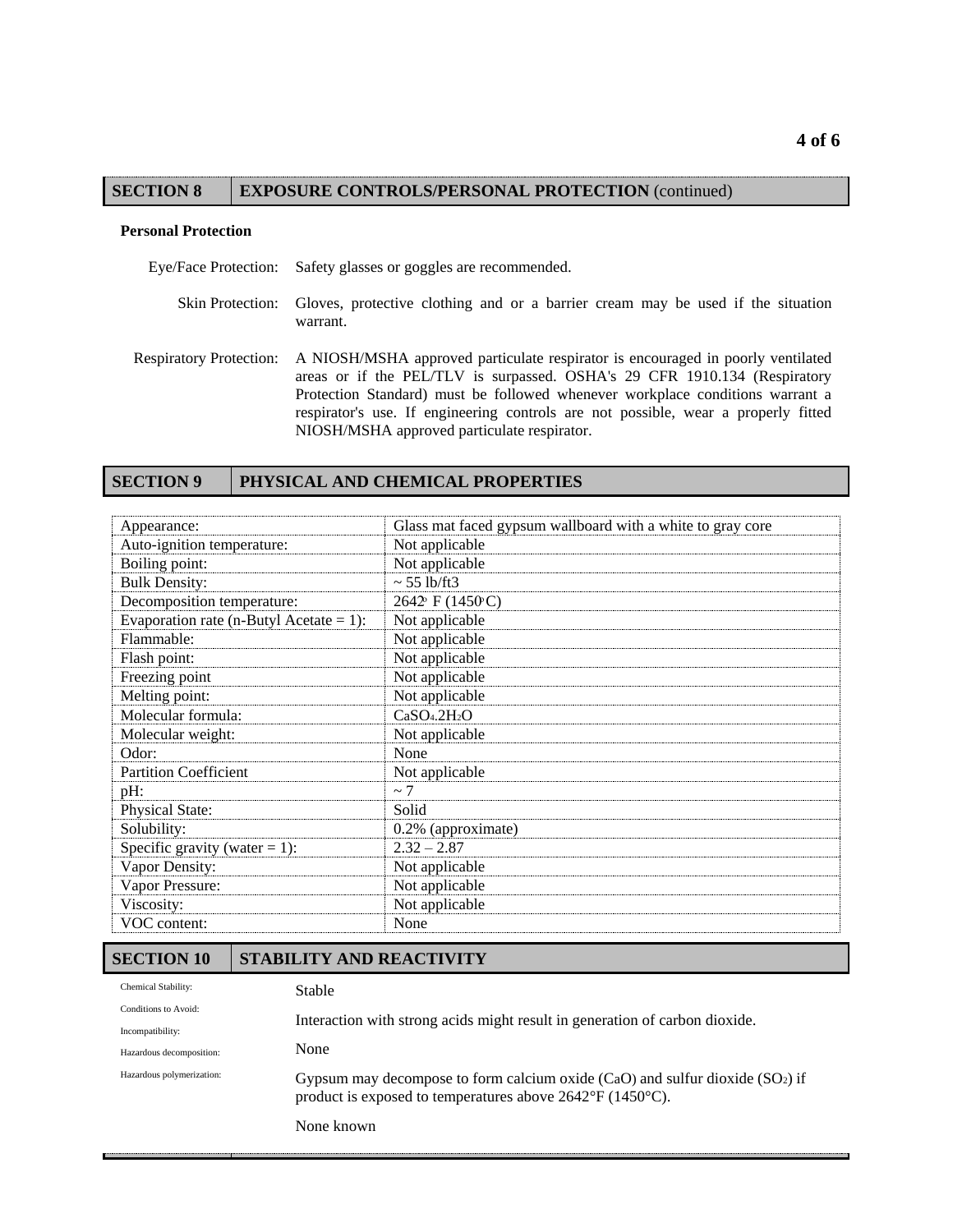#### **SECTION 8 EXPOSURE CONTROLS/PERSONAL PROTECTION** (continued)

#### **Personal Protection**

Eye/Face Protection: Safety glasses or goggles are recommended.

- Skin Protection: Gloves, protective clothing and or a barrier cream may be used if the situation warrant.
- Respiratory Protection: A NIOSH/MSHA approved particulate respirator is encouraged in poorly ventilated areas or if the PEL/TLV is surpassed. OSHA's 29 CFR 1910.134 (Respiratory Protection Standard) must be followed whenever workplace conditions warrant a respirator's use. If engineering controls are not possible, wear a properly fitted NIOSH/MSHA approved particulate respirator.

## **SECTION 9 PHYSICAL AND CHEMICAL PROPERTIES**

| Appearance:                             | Glass mat faced gypsum wallboard with a white to gray core |
|-----------------------------------------|------------------------------------------------------------|
| Auto-ignition temperature:              | Not applicable                                             |
| Boiling point:                          | Not applicable                                             |
| <b>Bulk Density:</b>                    | $\sim$ 55 lb/ft3                                           |
| Decomposition temperature:              | 2642° F (1450°C)                                           |
| Evaporation rate (n-Butyl Acetate = 1): | Not applicable                                             |
| Flammable:                              | Not applicable                                             |
| Flash point:                            | Not applicable                                             |
| Freezing point                          | Not applicable                                             |
| Melting point:                          | Not applicable                                             |
| Molecular formula:                      | CaSO <sub>4</sub> .2H <sub>2</sub> O                       |
| Molecular weight:                       | Not applicable                                             |
| Odor:                                   | None                                                       |
| <b>Partition Coefficient</b>            | Not applicable                                             |
| pH:                                     | $\sim$ 7                                                   |
| <b>Physical State:</b>                  | Solid                                                      |
| Solubility:                             | 0.2% (approximate)                                         |
| Specific gravity (water $= 1$ ):        | $2.32 - 2.87$                                              |
| Vapor Density:                          | Not applicable                                             |
| Vapor Pressure:                         | Not applicable                                             |
| Viscosity:                              | Not applicable                                             |
| VOC content:                            | None                                                       |

#### **SECTION 10 STABILITY AND REACTIVITY**

| Chemical Stability:       | Stable                                                                                                                                                         |  |
|---------------------------|----------------------------------------------------------------------------------------------------------------------------------------------------------------|--|
| Conditions to Avoid:      | Interaction with strong acids might result in generation of carbon dioxide.                                                                                    |  |
| Incompatibility:          |                                                                                                                                                                |  |
| Hazardous decomposition:  | None                                                                                                                                                           |  |
| Hazardous polymerization: | Gypsum may decompose to form calcium oxide $(CaO)$ and sulfur dioxide $(SO2)$ if<br>product is exposed to temperatures above $2642^{\circ}F (1450^{\circ}C)$ . |  |
|                           | None known                                                                                                                                                     |  |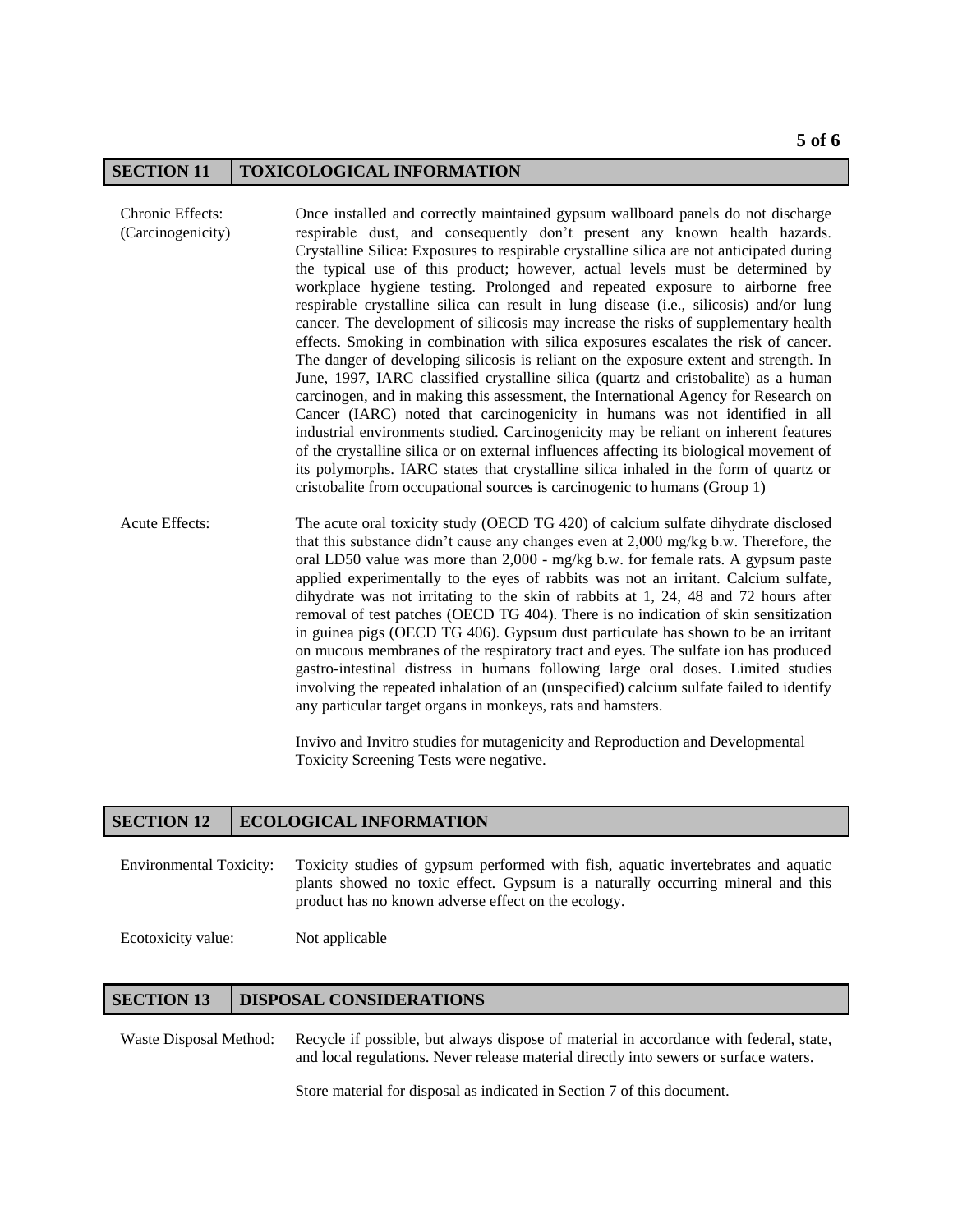#### **SECTION 11 TOXICOLOGICAL INFORMATION**

- Chronic Effects: (Carcinogenicity) Once installed and correctly maintained gypsum wallboard panels do not discharge respirable dust, and consequently don't present any known health hazards. Crystalline Silica: Exposures to respirable crystalline silica are not anticipated during the typical use of this product; however, actual levels must be determined by workplace hygiene testing. Prolonged and repeated exposure to airborne free respirable crystalline silica can result in lung disease (i.e., silicosis) and/or lung cancer. The development of silicosis may increase the risks of supplementary health effects. Smoking in combination with silica exposures escalates the risk of cancer. The danger of developing silicosis is reliant on the exposure extent and strength. In June, 1997, IARC classified crystalline silica (quartz and cristobalite) as a human carcinogen, and in making this assessment, the International Agency for Research on Cancer (IARC) noted that carcinogenicity in humans was not identified in all industrial environments studied. Carcinogenicity may be reliant on inherent features of the crystalline silica or on external influences affecting its biological movement of its polymorphs. IARC states that crystalline silica inhaled in the form of quartz or cristobalite from occupational sources is carcinogenic to humans (Group 1)
- Acute Effects: The acute oral toxicity study (OECD TG 420) of calcium sulfate dihydrate disclosed that this substance didn't cause any changes even at 2,000 mg/kg b.w. Therefore, the oral LD50 value was more than 2,000 - mg/kg b.w. for female rats. A gypsum paste applied experimentally to the eyes of rabbits was not an irritant. Calcium sulfate, dihydrate was not irritating to the skin of rabbits at 1, 24, 48 and 72 hours after removal of test patches (OECD TG 404). There is no indication of skin sensitization in guinea pigs (OECD TG 406). Gypsum dust particulate has shown to be an irritant on mucous membranes of the respiratory tract and eyes. The sulfate ion has produced gastro-intestinal distress in humans following large oral doses. Limited studies involving the repeated inhalation of an (unspecified) calcium sulfate failed to identify any particular target organs in monkeys, rats and hamsters.

Invivo and Invitro studies for mutagenicity and Reproduction and Developmental Toxicity Screening Tests were negative.

## **SECTION 12 ECOLOGICAL INFORMATION**

Environmental Toxicity: Toxicity studies of gypsum performed with fish, aquatic invertebrates and aquatic plants showed no toxic effect. Gypsum is a naturally occurring mineral and this product has no known adverse effect on the ecology.

Ecotoxicity value: Not applicable

### **SECTION 13** DISPOSAL CONSIDERATIONS

Waste Disposal Method: Recycle if possible, but always dispose of material in accordance with federal, state, and local regulations. Never release material directly into sewers or surface waters.

Store material for disposal as indicated in Section 7 of this document.